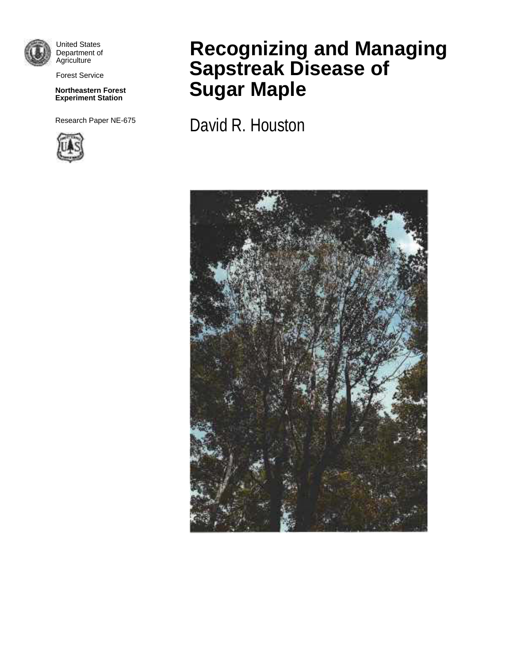

United States Department of **Agriculture** 

Forest Service

#### **Northeastern Forest Experiment Station**

Research Paper NE-675



# **Recognizing and Managing Sapstreak Disease of Sugar Maple**

David R. Houston

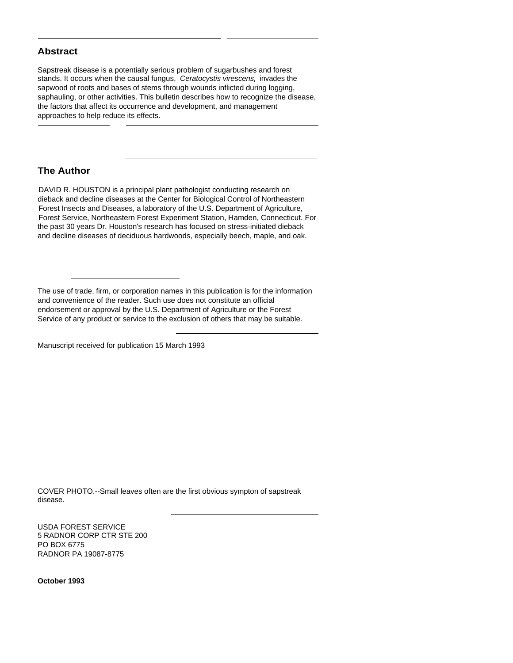## **Abstract**

Sapstreak disease is a potentially serious problem of sugarbushes and forest stands. It occurs when the causal fungus, *Ceratocystis virescens,* invades the sapwood of roots and bases of stems through wounds inflicted during logging, saphauling, or other activities. This bulletin describes how to recognize the disease, the factors that affect its occurrence and development, and management approaches to help reduce its effects.

# **The Author**

DAVID R. HOUSTON is a principal plant pathologist conducting research on dieback and decline diseases at the Center for Biological Control of Northeastern Forest Insects and Diseases, a laboratory of the U.S. Department of Agriculture, Forest Service, Northeastern Forest Experiment Station, Hamden, Connecticut. For the past 30 years Dr. Houston's research has focused on stress-initiated dieback and decline diseases of deciduous hardwoods, especially beech, maple, and oak.

The use of trade, firm, or corporation names in this publication is for the information and convenience of the reader. Such use does not constitute an official endorsement or approval by the U.S. Department of Agriculture or the Forest Service of any product or service to the exclusion of others that may be suitable.

Manuscript received for publication 15 March 1993

COVER PHOTO.--Small leaves often are the first obvious sympton of sapstreak disease.

USDA FOREST SERVICE 5 RADNOR CORP CTR STE 200 PO BOX 6775 RADNOR PA 19087-8775

**October 1993**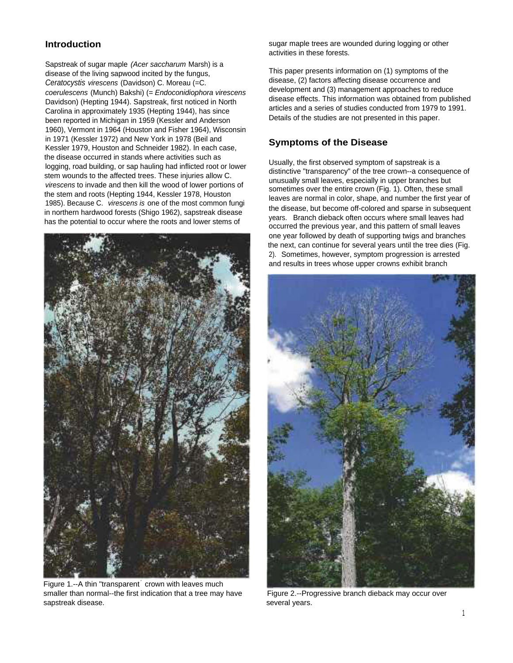# **Introduction**

Sapstreak of sugar maple *(Acer saccharum* Marsh) is a disease of the living sapwood incited by the fungus, *Ceratocystis virescens* (Davidson) C. Moreau (=C. *coerulescens* (Munch) Bakshi) (= *Endoconidiophora virescens* Davidson) (Hepting 1944). Sapstreak, first noticed in North Carolina in approximately 1935 (Hepting 1944), has since been reported in Michigan in 1959 (Kessler and Anderson 1960), Vermont in 1964 (Houston and Fisher 1964), Wisconsin in 1971 (Kessler 1972) and New York in 1978 (Beil and Kessler 1979, Houston and Schneider 1982). In each case, the disease occurred in stands where activities such as logging, road building, or sap hauling had inflicted root or lower stem wounds to the affected trees. These injuries allow C. *virescens* to invade and then kill the wood of lower portions of the stem and roots (Hepting 1944, Kessler 1978, Houston 1985). Because C. *virescens is* one of the most common fungi in northern hardwood forests (Shigo 1962), sapstreak disease has the potential to occur where the roots and lower stems of



Figure 1.--A thin "transparent<sup>'</sup> crown with leaves much smaller than normal--the first indication that a tree may have sapstreak disease.

sugar maple trees are wounded during logging or other activities in these forests.

This paper presents information on (1) symptoms of the disease, (2) factors affecting disease occurrence and development and (3) management approaches to reduce disease effects. This information was obtained from published articles and a series of studies conducted from 1979 to 1991. Details of the studies are not presented in this paper.

# **Symptoms of the Disease**

Usually, the first observed symptom of sapstreak is a distinctive "transparency" of the tree crown--a consequence of unusually small leaves, especially in upper branches but sometimes over the entire crown (Fig. 1). Often, these small leaves are normal in color, shape, and number the first year of the disease, but become off-colored and sparse in subsequent years. Branch dieback often occurs where small leaves had occurred the previous year, and this pattern of small leaves one year followed by death of supporting twigs and branches the next, can continue for several years until the tree dies (Fig. 2). Sometimes, however, symptom progression is arrested and results in trees whose upper crowns exhibit branch



Figure 2.--Progressive branch dieback may occur over several years.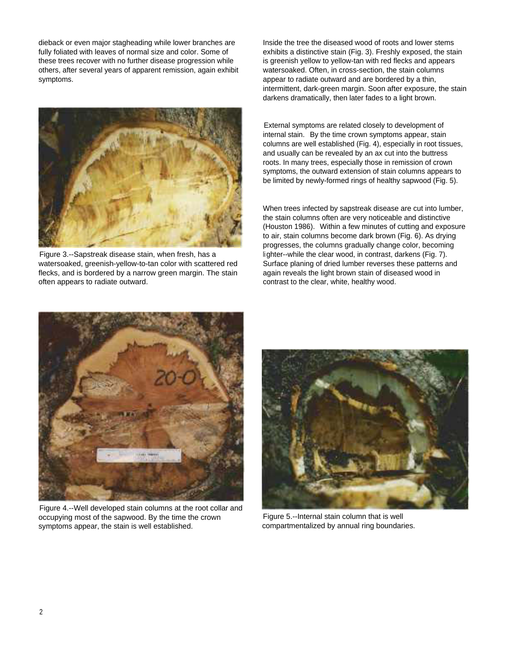dieback or even major stagheading while lower branches are Inside the tree the diseased wood of roots and lower stems these trees recover with no further disease progression while is greenish yellow to yellow-tan with red flecks and appears others, after several years of apparent remission, again exhibit watersoaked. Often, in cross-section, the stain columns symptoms. **All appears to radiate outward and are bordered by a thin,** appear to radiate outward and are bordered by a thin,



Figure 3.--Sapstreak disease stain, when fresh, has a watersoaked, greenish-yellow-to-tan color with scattered red flecks, and is bordered by a narrow green margin. The stain often appears to radiate outward.

fully foliated with leaves of normal size and color. Some of exhibits a distinctive stain (Fig. 3). Freshly exposed, the stain intermittent, dark-green margin. Soon after exposure, the stain darkens dramatically, then later fades to a light brown.

> External symptoms are related closely to development of internal stain. By the time crown symptoms appear, stain columns are well established (Fig. 4), especially in root tissues, and usually can be revealed by an ax cut into the buttress roots. In many trees, especially those in remission of crown symptoms, the outward extension of stain columns appears to be limited by newly-formed rings of healthy sapwood (Fig. 5).

When trees infected by sapstreak disease are cut into lumber, the stain columns often are very noticeable and distinctive (Houston 1986). Within a few minutes of cutting and exposure to air, stain columns become dark brown (Fig. 6). As drying progresses, the columns gradually change color, becoming lighter--while the clear wood, in contrast, darkens (Fig. 7). Surface planing of dried lumber reverses these patterns and again reveals the light brown stain of diseased wood in contrast to the clear, white, healthy wood.



Figure 4.--Well developed stain columns at the root collar and occupying most of the sapwood. By the time the crown symptoms appear, the stain is well established.



Figure 5.--Internal stain column that is well compartmentalized by annual ring boundaries.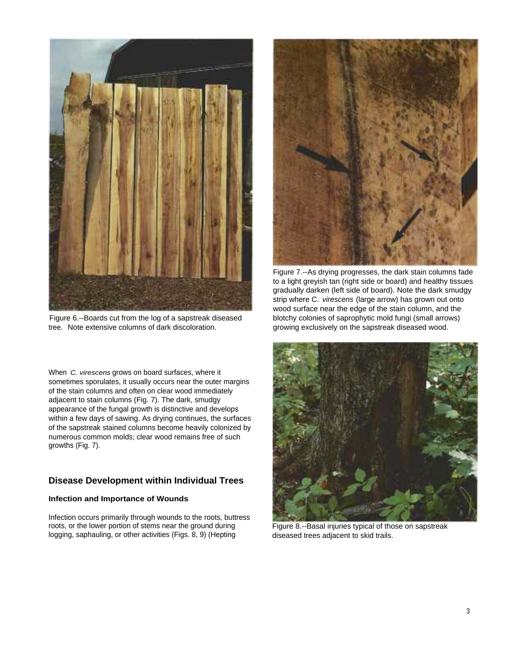

Figure 6.--Boards cut from the log of a sapstreak diseased tree. Note extensive columns of dark discoloration.

When *C. virescens* grows on board surfaces, where it sometimes sporulates, it usually occurs near the outer margins of the stain columns and often on clear wood immediately adjacent to stain columns (Fig. 7). The dark, smudgy appearance of the fungal growth is distinctive and develops within a few days of sawing. As drying continues, the surfaces of the sapstreak stained columns become heavily colonized by numerous common molds; clear wood remains free of such growths (Fig. 7).

# **Disease Development within Individual Trees**

### **Infection and Importance of Wounds**

Infection occurs primarily through wounds to the roots, buttress roots, or the lower portion of stems near the ground during logging, saphauling, or other activities (Figs. 8, 9) (Hepting



Figure 7.--As drying progresses, the dark stain columns fade to a light greyish tan (right side or board) and healthy tissues gradually darken (left side of board). Note the dark smudgy strip where C. *virescens* (large arrow) has grown out onto wood surface near the edge of the stain column, and the blotchy colonies of saprophytic mold fungi (small arrows) growing exclusively on the sapstreak diseased wood.



Figure 8.--Basal injuries typical of those on sapstreak diseased trees adjacent to skid trails.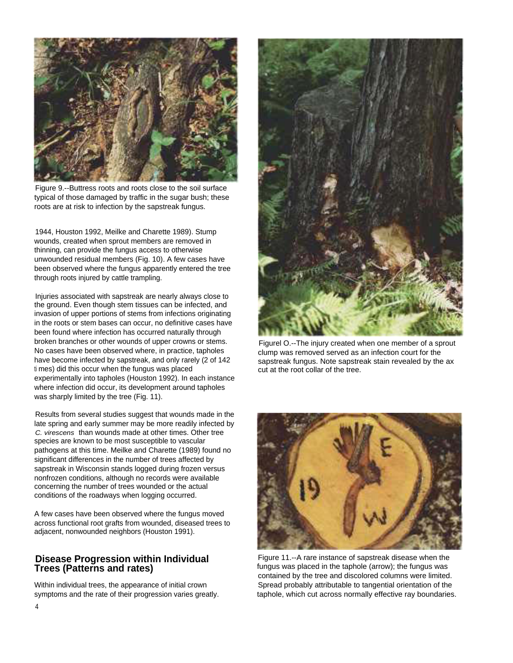

Figure 9.--Buttress roots and roots close to the soil surface typical of those damaged by traffic in the sugar bush; these roots are at risk to infection by the sapstreak fungus.

1944, Houston 1992, Meilke and Charette 1989). Stump wounds, created when sprout members are removed in thinning, can provide the fungus access to otherwise unwounded residual members (Fig. 10). A few cases have been observed where the fungus apparently entered the tree through roots injured by cattle trampling.

Injuries associated with sapstreak are nearly always close to the ground. Even though stem tissues can be infected, and invasion of upper portions of stems from infections originating in the roots or stem bases can occur, no definitive cases have been found where infection has occurred naturally through broken branches or other wounds of upper crowns or stems. No cases have been observed where, in practice, tapholes have become infected by sapstreak, and only rarely (2 of 142 ti mes) did this occur when the fungus was placed experimentally into tapholes (Houston 1992). In each instance where infection did occur, its development around tapholes was sharply limited by the tree (Fig. 11).

Results from several studies suggest that wounds made in the late spring and early summer may be more readily infected by *C. virescens* than wounds made at other times. Other tree species are known to be most susceptible to vascular pathogens at this time. Meilke and Charette (1989) found no significant differences in the number of trees affected by sapstreak in Wisconsin stands logged during frozen versus nonfrozen conditions, although no records were available concerning the number of trees wounded or the actual conditions of the roadways when logging occurred.

A few cases have been observed where the fungus moved across functional root grafts from wounded, diseased trees to adjacent, nonwounded neighbors (Houston 1991).



Figurel O.--The injury created when one member of a sprout clump was removed served as an infection court for the sapstreak fungus. Note sapstreak stain revealed by the ax cut at the root collar of the tree.



**Disease Progression within Individual** Figure 11.--A rare instance of sapstreak disease when the **Trees (Patterns and rates)** Figure 11.--A rare instance of sapstreak disease when the taphole (arrow); the fungus was fungus was placed in the taphole (arrow); the fungus was contained by the tree and discolored columns were limited. Within individual trees, the appearance of initial crown Spread probably attributable to tangential orientation of the symptoms and the rate of their progression varies greatly. taphole, which cut across normally effective ray boundaries.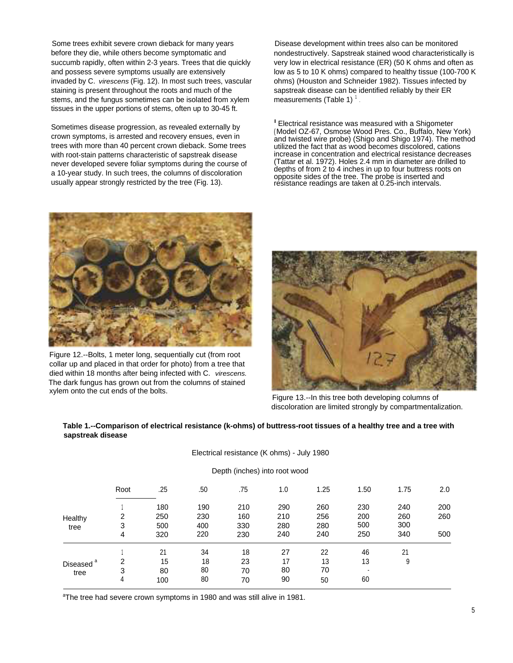Some trees exhibit severe crown dieback for many years before they die, while others become symptomatic and succumb rapidly, often within 2-3 years. Trees that die quickly and possess severe symptoms usually are extensively invaded by C. *virescens* (Fig. 12). In most such trees, vascular staining is present throughout the roots and much of the stems, and the fungus sometimes can be isolated from xylem tissues in the upper portions of stems, often up to 30-45 ft.

Sometimes disease progression, as revealed externally by crown symptoms, is arrested and recovery ensues, even in trees with more than 40 percent crown dieback. Some trees with root-stain patterns characteristic of sapstreak disease never developed severe foliar symptoms during the course of a 10-year study. In such trees, the columns of discoloration usually appear strongly restricted by the tree (Fig. 13).

Disease development within trees also can be monitored nondestructively. Sapstreak stained wood characteristically is very low in electrical resistance (ER) (50 K ohms and often as low as 5 to 10 K ohms) compared to healthy tissue (100-700 K ohms) (Houston and Schneider 1982). Tissues infected by sapstreak disease can be identified reliably by their ER measurements (Table 1) $^{\mathrm{+}}$ .

<sup>I</sup> Electrical resistance was measured with a Shigometer (Model OZ-67, Osmose Wood Pres. Co., Buffalo, New York) and twisted wire probe) (Shigo and Shigo 1974). The method utilized the fact that as wood becomes discolored, cations increase in concentration and electrical resistance decreases (Tattar et al. 1972). Holes 2.4 mm in diameter are drilled to depths of from 2 to 4 inches in up to four buttress roots on opposite sides of the tree. The probe is inserted and resistance readings are taken at 0.25-inch intervals.



Figure 12.--Bolts, 1 meter long, sequentially cut (from root collar up and placed in that order for photo) from a tree that died within 18 months after being infected with C. *virescens.* The dark fungus has grown out from the columns of stained xylem onto the cut ends of the bolts.



Figure 13.--In this tree both developing columns of discoloration are limited strongly by compartmentalization.

#### **Table 1.--Comparison of electrical resistance (k-ohms) of buttress-root tissues of a healthy tree and a tree with sapstreak disease**

Electrical resistance (K ohms) - July 1980

|                                    | Depth (inches) into root wood |     |     |     |     |      |      |      |     |  |  |  |
|------------------------------------|-------------------------------|-----|-----|-----|-----|------|------|------|-----|--|--|--|
|                                    | Root                          | .25 | .50 | .75 | 1.0 | 1.25 | 1.50 | 1.75 | 2.0 |  |  |  |
| Healthy<br>tree                    |                               | 180 | 190 | 210 | 290 | 260  | 230  | 240  | 200 |  |  |  |
|                                    | 2                             | 250 | 230 | 160 | 210 | 256  | 200  | 260  | 260 |  |  |  |
|                                    | 3                             | 500 | 400 | 330 | 280 | 280  | 500  | 300  |     |  |  |  |
|                                    | 4                             | 320 | 220 | 230 | 240 | 240  | 250  | 340  | 500 |  |  |  |
| а<br>Diseased <sup>®</sup><br>tree |                               | 21  | 34  | 18  | 27  | 22   | 46   | 21   |     |  |  |  |
|                                    | 2                             | 15  | 18  | 23  | 17  | 13   | 13   | 9    |     |  |  |  |
|                                    | 3                             | 80  | 80  | 70  | 80  | 70   |      |      |     |  |  |  |
|                                    | 4                             | 100 | 80  | 70  | 90  | 50   | 60   |      |     |  |  |  |

<sup>a</sup>The tree had severe crown symptoms in 1980 and was still alive in 1981.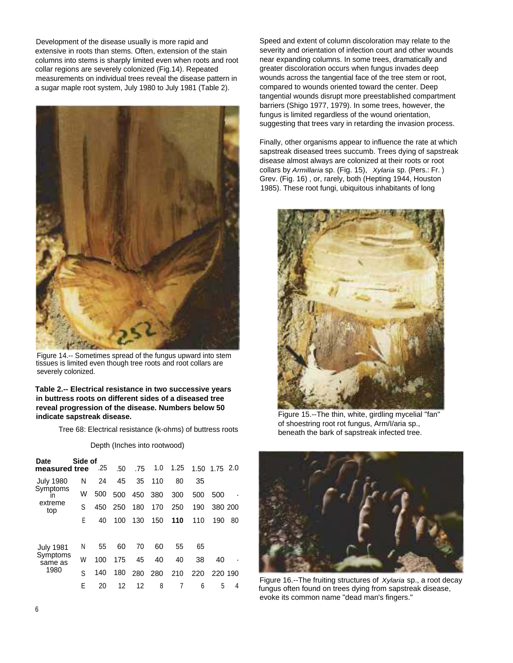Development of the disease usually is more rapid and extensive in roots than stems. Often, extension of the stain columns into stems is sharply limited even when roots and root collar regions are severely colonized (Fig.14). Repeated measurements on individual trees reveal the disease pattern in a sugar maple root system, July 1980 to July 1981 (Table 2).



Figure 14.-- Sometimes spread of the fungus upward into stem tissues is limited even though tree roots and root collars are severely colonized.

#### **Table 2.-- Electrical resistance in two successive years in buttress roots on different sides of a diseased tree reveal progression of the disease. Numbers below 50 indicate sapstreak disease.**

Tree 68: Electrical resistance (k-ohms) of buttress roots

#### Depth (Inches into rootwood)

| Date<br>measured tree | Side of | .25 | .50 | .75 | 1.0 | 1.25 |     | 1.50 1.75 2.0 |    |
|-----------------------|---------|-----|-----|-----|-----|------|-----|---------------|----|
| <b>July 1980</b>      | N       | 24  | 45  | 35  | 110 | 80   | 35  |               |    |
| Symptoms<br>ın        | W       | 500 | 500 | 450 | 380 | 300  | 500 | 500           |    |
| extreme<br>top        | S       | 450 | 250 | 180 | 170 | 250  | 190 | 380 200       |    |
|                       | F       | 40  | 100 | 130 | 150 | 110  | 110 | 190           | 80 |
|                       |         |     |     |     |     |      |     |               |    |
| <b>July 1981</b>      | Ν       | 55  | 60  | 70  | 60  | 55   | 65  |               |    |
| Symptoms<br>same as   | W       | 100 | 175 | 45  | 40  | 40   | 38  | 40            |    |
| 1980                  | S       | 140 | 180 | 280 | 280 | 210  | 220 | 220 190       |    |
|                       | F       | 20  | 12  | 12  | 8   |      | 6   | 5             | 4  |

Speed and extent of column discoloration may relate to the severity and orientation of infection court and other wounds near expanding columns. In some trees, dramatically and greater discoloration occurs when fungus invades deep wounds across the tangential face of the tree stem or root, compared to wounds oriented toward the center. Deep tangential wounds disrupt more preestablished compartment barriers (Shigo 1977, 1979). In some trees, however, the fungus is limited regardless of the wound orientation, suggesting that trees vary in retarding the invasion process.

Finally, other organisms appear to influence the rate at which sapstreak diseased trees succumb. Trees dying of sapstreak disease almost always are colonized at their roots or root collars by *Armillaria* sp. (Fig. 15), *Xylaria* sp. (Pers.: Fr. ) Grev. (Fig. 16) , or, rarely, both (Hepting 1944, Houston 1985). These root fungi, ubiquitous inhabitants of long



Figure 15.--The thin, white, girdling mycelial "fan" of shoestring root rot fungus, Arm/I/aria sp., beneath the bark of sapstreak infected tree.



Figure 16.--The fruiting structures of *Xylaria* sp., a root decay fungus often found on trees dying from sapstreak disease, evoke its common name "dead man's fingers."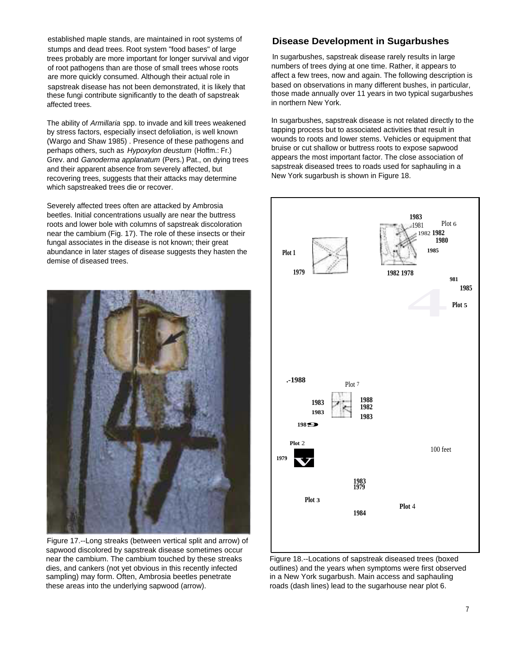established maple stands, are maintained in root systems of stumps and dead trees. Root system "food bases" of large trees probably are more important for longer survival and vigor of root pathogens than are those of small trees whose roots are more quickly consumed. Although their actual role in sapstreak disease has not been demonstrated, it is likely that these fungi contribute significantly to the death of sapstreak affected trees.

The ability of *Armillaria* spp. to invade and kill trees weakened by stress factors, especially insect defoliation, is well known (Wargo and Shaw 1985) . Presence of these pathogens and perhaps others, such as *Hypoxylon deustum* (Hoffm.: Fr.) Grev. and *Ganoderma applanatum* (Pers.) Pat., on dying trees and their apparent absence from severely affected, but recovering trees, suggests that their attacks may determine which sapstreaked trees die or recover.

Severely affected trees often are attacked by Ambrosia beetles. Initial concentrations usually are near the buttress roots and lower bole with columns of sapstreak discoloration near the cambium (Fig. 17). The role of these insects or their fungal associates in the disease is not known; their great abundance in later stages of disease suggests they hasten the demise of diseased trees.



Figure 17.--Long streaks (between vertical split and arrow) of sapwood discolored by sapstreak disease sometimes occur near the cambium. The cambium touched by these streaks dies, and cankers (not yet obvious in this recently infected sampling) may form. Often, Ambrosia beetles penetrate these areas into the underlying sapwood (arrow).

# **Disease Development in Sugarbushes**

In sugarbushes, sapstreak disease rarely results in large numbers of trees dying at one time. Rather, it appears to affect a few trees, now and again. The following description is based on observations in many different bushes, in particular, those made annually over 11 years in two typical sugarbushes in northern New York.

In sugarbushes, sapstreak disease is not related directly to the tapping process but to associated activities that result in wounds to roots and lower stems. Vehicles or equipment that bruise or cut shallow or buttress roots to expose sapwood appears the most important factor. The close association of sapstreak diseased trees to roads used for saphauling in a New York sugarbush is shown in Figure 18.



Figure 18.--Locations of sapstreak diseased trees (boxed outlines) and the years when symptoms were first observed in a New York sugarbush. Main access and saphauling roads (dash lines) lead to the sugarhouse near plot 6.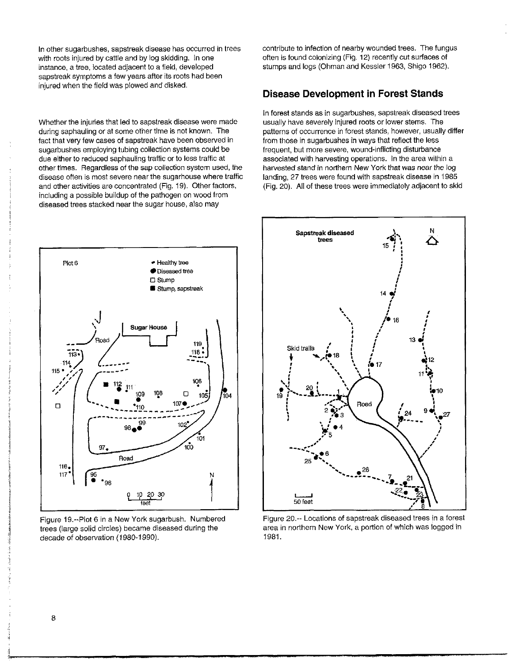In other sugarbushes, sapstreak disease has occurred in trees with roots injured by cattle and by log skidding. In one instance, a tree, located adjacent to a field, developed sapstreak symptoms a few years after its roots had been injured when the field was plowed and disked.

Whether the injuries that led to sapstreak disease were made during saphauling or at some other time is not known. The fact that very few cases of sapstreak have been observed in sugarbushes employing tubing collection systems could be due either to reduced saphauling traffic or to less traffic at other times. Regardless of the sap collection system used, the disease often is most severe near the sugarhouse where traffic and other activities are concentrated (Fig. 19). Other factors, including a possible buildup of the pathogen on wood from diseased trees stacked near the sugar house, also may



Figure 19.--Plot 6 in a New York sugarbush. Numbered trees (large solid circles) became diseased during the decade of observation (1980-1990).

contribute to infection of nearby wounded trees. The fungus often is found colonizing (Fig. 12) recently cut surfaces of stumps and logs (Ohman and Kessler 1963, Shigo 1962).

# **Disease Development in Forest Stands**

In forest stands as in sugarbushes, sapstreak diseased trees usually have severely injured roots or lower stems. The patterns of occurrence in forest stands, however, usually differ from those in sugarbushes in ways that reflect the less frequent, but more severe, wound-inflicting disturbance associated with harvesting operations. In the area within a harvested stand in northern New York that was near the log landing, 27 trees were found with sapstreak disease in 1985 (Fig. 20). All of these trees were immediately adjacent to skid



Figure 20.- Locations of sapstreak diseased trees in a forest area in northern New York, a portion of which was logged in 1981.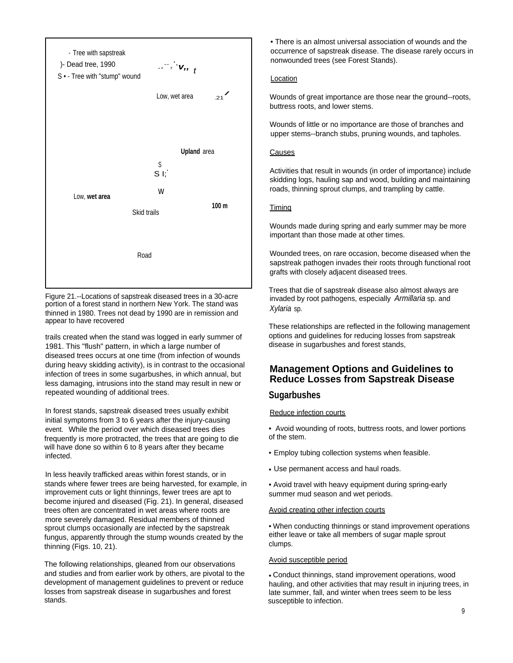

Figure 21.--Locations of sapstreak diseased trees in a 30-acre portion of a forest stand in northern New York. The stand was thinned in 1980. Trees not dead by 1990 are in remission and appear to have recovered

trails created when the stand was logged in early summer of 1981. This "flush" pattern, in which a large number of diseased trees occurs at one time (from infection of wounds during heavy skidding activity), is in contrast to the occasional infection of trees in some sugarbushes, in which annual, but less damaging, intrusions into the stand may result in new or repeated wounding of additional trees.

In forest stands, sapstreak diseased trees usually exhibit initial symptoms from 3 to 6 years after the injury-causing event. While the period over which diseased trees dies frequently is more protracted, the trees that are going to die will have done so within 6 to 8 years after they became infected.

In less heavily trafficked areas within forest stands, or in stands where fewer trees are being harvested, for example, in improvement cuts or light thinnings, fewer trees are apt to become injured and diseased (Fig. 21). In general, diseased trees often are concentrated in wet areas where roots are more severely damaged. Residual members of thinned sprout clumps occasionally are infected by the sapstreak fungus, apparently through the stump wounds created by the thinning (Figs. 10, 21).

The following relationships, gleaned from our observations and studies and from earlier work by others, are pivotal to the development of management guidelines to prevent or reduce losses from sapstreak disease in sugarbushes and forest stands.

• There is an almost universal association of wounds and the occurrence of sapstreak disease. The disease rarely occurs in nonwounded trees (see Forest Stands).

#### Location

Wounds of great importance are those near the ground--roots, buttress roots, and lower stems.

Wounds of little or no importance are those of branches and upper stems--branch stubs, pruning wounds, and tapholes.

#### **Causes**

Activities that result in wounds (in order of importance) include skidding logs, hauling sap and wood, building and maintaining roads, thinning sprout clumps, and trampling by cattle.

### **Timing**

Wounds made during spring and early summer may be more important than those made at other times.

Wounded trees, on rare occasion, become diseased when the sapstreak pathogen invades their roots through functional root grafts with closely adjacent diseased trees.

Trees that die of sapstreak disease also almost always are invaded by root pathogens, especially *Armillaria* sp. and *Xylaria* sp.

These relationships are reflected in the following management options and guidelines for reducing losses from sapstreak disease in sugarbushes and forest stands,

# **Management Options and Guidelines to Reduce Losses from Sapstreak Disease**

### **Sugarbushes**

### Reduce infection courts

• Avoid wounding of roots, buttress roots, and lower portions of the stem.

- Employ tubing collection systems when feasible.
- Use permanent access and haul roads.
- Avoid travel with heavy equipment during spring-early summer mud season and wet periods.

#### Avoid creating other infection courts

• When conducting thinnings or stand improvement operations either leave or take all members of sugar maple sprout clumps.

#### Avoid susceptible period

• Conduct thinnings, stand improvement operations, wood hauling, and other activities that may result in injuring trees, in late summer, fall, and winter when trees seem to be less susceptible to infection.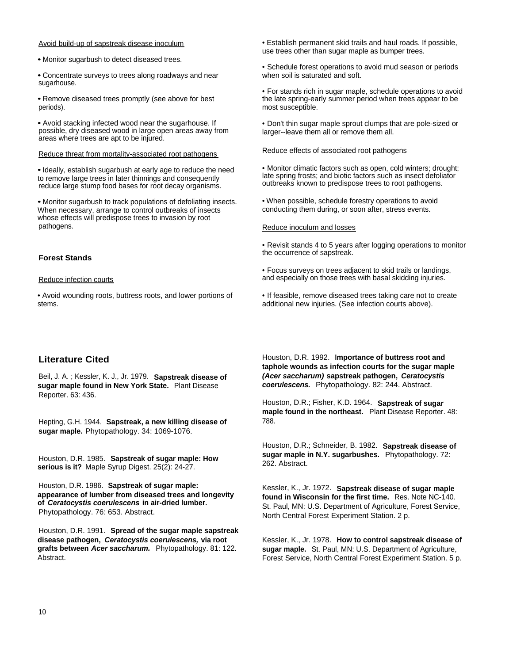#### Avoid build-up of sapstreak disease inoculum

• Monitor sugarbush to detect diseased trees.

• Concentrate surveys to trees along roadways and near sugarhouse.

• Remove diseased trees promptly (see above for best periods).

• Avoid stacking infected wood near the sugarhouse. If possible, dry diseased wood in large open areas away from areas where trees are apt to be injured.

#### Reduce threat from mortality-associated root pathogens

• Ideally, establish sugarbush at early age to reduce the need to remove large trees in later thinnings and consequently reduce large stump food bases for root decay organisms.

• Monitor sugarbush to track populations of defoliating insects. When necessary, arrange to control outbreaks of insects whose effects will predispose trees to invasion by root pathogens.

#### **Forest Stands**

#### Reduce infection courts

• Avoid wounding roots, buttress roots, and lower portions of stems.

# **Literature Cited**

Beil, J. A. ; Kessler, K. J., Jr. 1979. **Sapstreak disease of sugar maple found in New York State.** Plant Disease Reporter. 63: 436.

Hepting, G.H. 1944. **Sapstreak, a new killing disease of sugar maple.** Phytopathology. 34: 1069-1076.

Houston, D.R. 1985. **Sapstreak of sugar maple: How serious is it?** Maple Syrup Digest. 25(2): 24-27.

Houston, D.R. 1986. **Sapstreak of sugar maple: appearance of lumber from diseased trees and longevity of** *Ceratocystis coerulescens* **in air-dried lumber.** Phytopathology. 76: 653. Abstract.

Houston, D.R. 1991. **Spread of the sugar maple sapstreak disease pathogen,** *Ceratocystis coerulescens,* **via root grafts between** *Acer saccharum.* Phytopathology. 81: 122. Abstract.

• Establish permanent skid trails and haul roads. If possible, use trees other than sugar maple as bumper trees.

• Schedule forest operations to avoid mud season or periods when soil is saturated and soft.

• For stands rich in sugar maple, schedule operations to avoid the late spring-early summer period when trees appear to be most susceptible.

• Don't thin sugar maple sprout clumps that are pole-sized or larger--leave them all or remove them all.

#### Reduce effects of associated root pathogens

• Monitor climatic factors such as open, cold winters; drought; late spring frosts; and biotic factors such as insect defoliator outbreaks known to predispose trees to root pathogens.

• When possible, schedule forestry operations to avoid conducting them during, or soon after, stress events.

#### Reduce inoculum and losses

• Revisit stands 4 to 5 years after logging operations to monitor the occurrence of sapstreak.

- Focus surveys on trees adjacent to skid trails or landings, and especially on those trees with basal skidding injuries.
- If feasible, remove diseased trees taking care not to create additional new injuries. (See infection courts above).

Houston, D.R. 1992. **Importance of buttress root and taphole wounds as infection courts for the sugar maple** *(Acer saccharum)* **sapstreak pathogen,** *Ceratocystis coerulescens.* Phytopathology. 82: 244. Abstract.

Houston, D.R.; Fisher, K.D. 1964. **Sapstreak of sugar maple found in the northeast.** Plant Disease Reporter. 48: 788.

Houston, D.R.; Schneider, B. 1982. **Sapstreak disease of sugar maple in N.Y. sugarbushes.** Phytopathology. 72: 262. Abstract.

Kessler, K., Jr. 1972. **Sapstreak disease of sugar maple found in Wisconsin for the first time.** Res. Note NC-140. St. Paul, MN: U.S. Department of Agriculture, Forest Service, North Central Forest Experiment Station. 2 p.

Kessler, K., Jr. 1978. **How to control sapstreak disease of sugar maple.** St. Paul, MN: U.S. Department of Agriculture, Forest Service, North Central Forest Experiment Station. 5 p.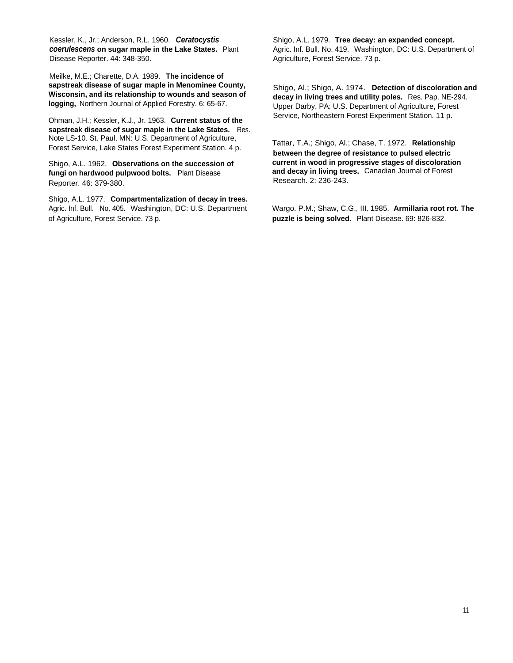Kessler, K., Jr.; Anderson, R.L. 1960. *Ceratocystis coerulescens* **on sugar maple in the Lake States.** Plant Disease Reporter. 44: 348-350.

Meilke, M.E.; Charette, D.A. 1989. **The incidence of sapstreak disease of sugar maple in Menominee County, Wisconsin, and its relationship to wounds and season of logging,** Northern Journal of Applied Forestry. 6: 65-67.

Ohman, J.H.; Kessler, K.J., Jr. 1963. **Current status of the sapstreak disease of sugar maple in the Lake States.** Res. Note LS-10. St. Paul, MN: U.S. Department of Agriculture, Forest Service, Lake States Forest Experiment Station. 4 p.

Shigo, A.L. 1962. **Observations on the succession of fungi on hardwood pulpwood bolts.** Plant Disease Reporter. 46: 379-380.

Shigo, A.L. 1977. **Compartmentalization of decay in trees.** Agric. Inf. Bull. No. 405. Washington, DC: U.S. Department of Agriculture, Forest Service. 73 p.

Shigo, A.L. 1979. **Tree decay: an expanded concept.** Agric. Inf. Bull. No. 419. Washington, DC: U.S. Department of Agriculture, Forest Service. 73 p.

Shigo, Al.; Shigo, A. 1974. **Detection of discoloration and decay in living trees and utility poles.** Res. Pap. NE-294. Upper Darby, PA: U.S. Department of Agriculture, Forest Service, Northeastern Forest Experiment Station. 11 p.

Tattar, T.A.; Shigo, Al.; Chase, T. 1972. **Relationship between the degree of resistance to pulsed electric current in wood in progressive stages of discoloration and decay in living trees.** Canadian Journal of Forest Research. 2: 236-243.

Wargo. P.M.; Shaw, C.G., III. 1985. **Armillaria root rot. The puzzle is being solved.** Plant Disease. 69: 826-832.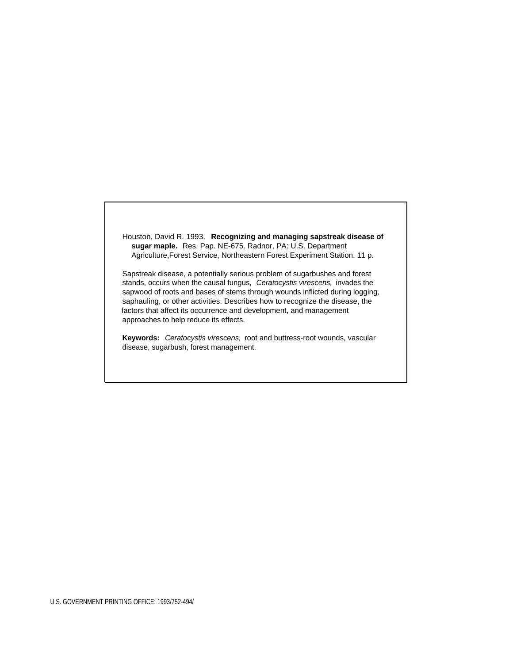Houston, David R. 1993. **Recognizing and managing sapstreak disease of sugar maple.** Res. Pap. NE-675. Radnor, PA: U.S. Department Agriculture,Forest Service, Northeastern Forest Experiment Station. 11 p.

Sapstreak disease, a potentially serious problem of sugarbushes and forest stands, occurs when the causal fungus, *Ceratocystis virescens,* invades the sapwood of roots and bases of stems through wounds inflicted during logging, saphauling, or other activities. Describes how to recognize the disease, the factors that affect its occurrence and development, and management approaches to help reduce its effects.

**Keywords:** *Ceratocystis virescens,* root and buttress-root wounds, vascular disease, sugarbush, forest management.